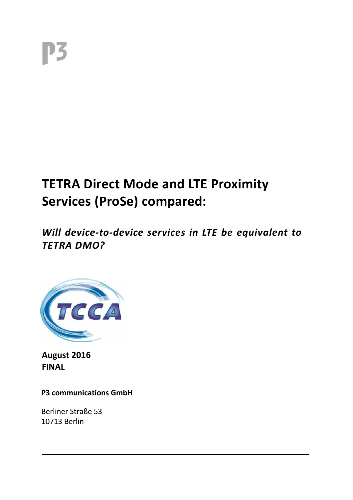# **TETRA Direct Mode and LTE Proximity Services (ProSe) compared:**

*Will device-to-device services in LTE be equivalent to TETRA DMO?*



**August 2016 FINAL**

**P3 communications GmbH**

Berliner Straße 53 10713 Berlin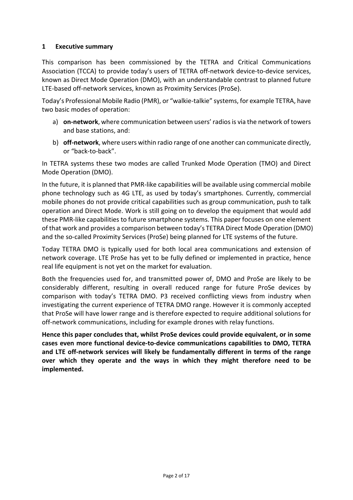#### **1 Executive summary**

This comparison has been commissioned by the TETRA and Critical Communications Association (TCCA) to provide today's users of TETRA off-network device-to-device services, known as Direct Mode Operation (DMO), with an understandable contrast to planned future LTE-based off-network services, known as Proximity Services (ProSe).

Today's Professional Mobile Radio (PMR), or "walkie-talkie" systems, for example TETRA, have two basic modes of operation:

- a) **on-network**, where communication between users' radios is via the network of towers and base stations, and:
- b) **off-network**, where users within radio range of one another can communicate directly, or "back-to-back".

In TETRA systems these two modes are called Trunked Mode Operation (TMO) and Direct Mode Operation (DMO).

In the future, it is planned that PMR-like capabilities will be available using commercial mobile phone technology such as 4G LTE, as used by today's smartphones. Currently, commercial mobile phones do not provide critical capabilities such as group communication, push to talk operation and Direct Mode. Work is still going on to develop the equipment that would add these PMR-like capabilities to future smartphone systems. This paper focuses on one element of that work and provides a comparison between today's TETRA Direct Mode Operation (DMO) and the so-called Proximity Services (ProSe) being planned for LTE systems of the future.

Today TETRA DMO is typically used for both local area communications and extension of network coverage. LTE ProSe has yet to be fully defined or implemented in practice, hence real life equipment is not yet on the market for evaluation.

Both the frequencies used for, and transmitted power of, DMO and ProSe are likely to be considerably different, resulting in overall reduced range for future ProSe devices by comparison with today's TETRA DMO. P3 received conflicting views from industry when investigating the current experience of TETRA DMO range. However it is commonly accepted that ProSe will have lower range and is therefore expected to require additional solutions for off-network communications, including for example drones with relay functions.

**Hence this paper concludes that, whilst ProSe devices could provide equivalent, or in some cases even more functional device-to-device communications capabilities to DMO, TETRA and LTE off-network services will likely be fundamentally different in terms of the range over which they operate and the ways in which they might therefore need to be implemented.**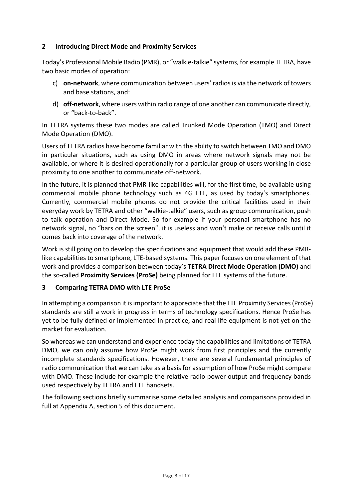#### **2 Introducing Direct Mode and Proximity Services**

Today's Professional Mobile Radio (PMR), or "walkie-talkie" systems, for example TETRA, have two basic modes of operation:

- c) **on-network**, where communication between users' radiosis via the network of towers and base stations, and:
- d) **off-network**, where users within radio range of one another can communicate directly, or "back-to-back".

In TETRA systems these two modes are called Trunked Mode Operation (TMO) and Direct Mode Operation (DMO).

Users of TETRA radios have become familiar with the ability to switch between TMO and DMO in particular situations, such as using DMO in areas where network signals may not be available, or where it is desired operationally for a particular group of users working in close proximity to one another to communicate off-network.

In the future, it is planned that PMR-like capabilities will, for the first time, be available using commercial mobile phone technology such as 4G LTE, as used by today's smartphones. Currently, commercial mobile phones do not provide the critical facilities used in their everyday work by TETRA and other "walkie-talkie" users, such as group communication, push to talk operation and Direct Mode. So for example if your personal smartphone has no network signal, no "bars on the screen", it is useless and won't make or receive calls until it comes back into coverage of the network.

Work is still going on to develop the specifications and equipment that would add these PMRlike capabilities to smartphone, LTE-based systems. This paper focuses on one element of that work and provides a comparison between today's **TETRA Direct Mode Operation (DMO)** and the so-called **Proximity Services (ProSe)** being planned for LTE systems of the future.

#### **3 Comparing TETRA DMO with LTE ProSe**

In attempting a comparison it is important to appreciate that the LTE Proximity Services (ProSe) standards are still a work in progress in terms of technology specifications. Hence ProSe has yet to be fully defined or implemented in practice, and real life equipment is not yet on the market for evaluation.

So whereas we can understand and experience today the capabilities and limitations of TETRA DMO, we can only assume how ProSe might work from first principles and the currently incomplete standards specifications. However, there are several fundamental principles of radio communication that we can take as a basis for assumption of how ProSe might compare with DMO. These include for example the relative radio power output and frequency bands used respectively by TETRA and LTE handsets.

The following sections briefly summarise some detailed analysis and comparisons provided in full at Appendix A, section [5](#page-7-0) of this document.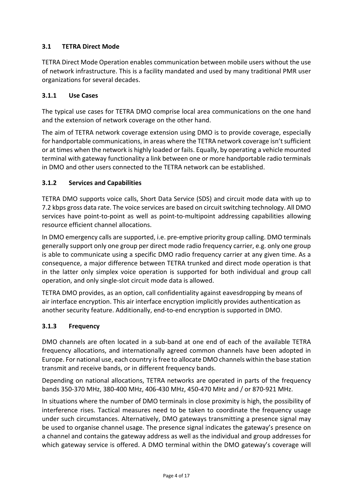## **3.1 TETRA Direct Mode**

TETRA Direct Mode Operation enables communication between mobile users without the use of network infrastructure. This is a facility mandated and used by many traditional PMR user organizations for several decades.

## **3.1.1 Use Cases**

The typical use cases for TETRA DMO comprise local area communications on the one hand and the extension of network coverage on the other hand.

The aim of TETRA network coverage extension using DMO is to provide coverage, especially for handportable communications, in areas where the TETRA network coverage isn't sufficient or at times when the network is highly loaded or fails. Equally, by operating a vehicle mounted terminal with gateway functionality a link between one or more handportable radio terminals in DMO and other users connected to the TETRA network can be established.

## **3.1.2 Services and Capabilities**

TETRA DMO supports voice calls, Short Data Service (SDS) and circuit mode data with up to 7.2 kbps gross data rate. The voice services are based on circuit switching technology. All DMO services have point-to-point as well as point-to-multipoint addressing capabilities allowing resource efficient channel allocations.

In DMO emergency calls are supported, i.e. pre-emptive priority group calling. DMO terminals generally support only one group per direct mode radio frequency carrier, e.g. only one group is able to communicate using a specific DMO radio frequency carrier at any given time. As a consequence, a major difference between TETRA trunked and direct mode operation is that in the latter only simplex voice operation is supported for both individual and group call operation, and only single-slot circuit mode data is allowed.

TETRA DMO provides, as an option, call confidentiality against eavesdropping by means of air interface encryption. This air interface encryption implicitly provides authentication as another security feature. Additionally, end-to-end encryption is supported in DMO.

#### **3.1.3 Frequency**

DMO channels are often located in a sub-band at one end of each of the available TETRA frequency allocations, and internationally agreed common channels have been adopted in Europe. For national use, each country is free to allocate DMO channels within the base station transmit and receive bands, or in different frequency bands.

Depending on national allocations, TETRA networks are operated in parts of the frequency bands 350-370 MHz, 380-400 MHz, 406-430 MHz, 450-470 MHz and / or 870-921 MHz.

In situations where the number of DMO terminals in close proximity is high, the possibility of interference rises. Tactical measures need to be taken to coordinate the frequency usage under such circumstances. Alternatively, DMO gateways transmitting a presence signal may be used to organise channel usage. The presence signal indicates the gateway's presence on a channel and contains the gateway address as well as the individual and group addresses for which gateway service is offered. A DMO terminal within the DMO gateway's coverage will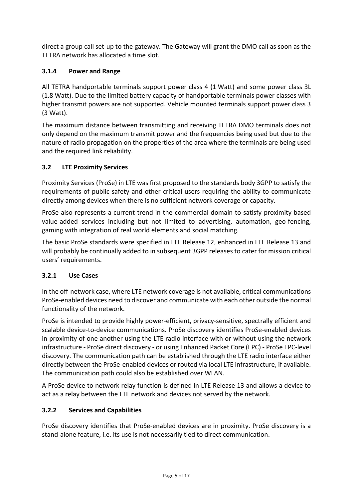direct a group call set-up to the gateway. The Gateway will grant the DMO call as soon as the TETRA network has allocated a time slot.

## **3.1.4 Power and Range**

All TETRA handportable terminals support power class 4 (1 Watt) and some power class 3L (1.8 Watt). Due to the limited battery capacity of handportable terminals power classes with higher transmit powers are not supported. Vehicle mounted terminals support power class 3 (3 Watt).

The maximum distance between transmitting and receiving TETRA DMO terminals does not only depend on the maximum transmit power and the frequencies being used but due to the nature of radio propagation on the properties of the area where the terminals are being used and the required link reliability.

## **3.2 LTE Proximity Services**

Proximity Services (ProSe) in LTE was first proposed to the standards body 3GPP to satisfy the requirements of public safety and other critical users requiring the ability to communicate directly among devices when there is no sufficient network coverage or capacity.

ProSe also represents a current trend in the commercial domain to satisfy proximity-based value-added services including but not limited to advertising, automation, geo-fencing, gaming with integration of real world elements and social matching.

The basic ProSe standards were specified in LTE Release 12, enhanced in LTE Release 13 and will probably be continually added to in subsequent 3GPP releases to cater for mission critical users' requirements.

#### **3.2.1 Use Cases**

In the off-network case, where LTE network coverage is not available, critical communications ProSe-enabled devices need to discover and communicate with each other outside the normal functionality of the network.

ProSe is intended to provide highly power-efficient, privacy-sensitive, spectrally efficient and scalable device-to-device communications. ProSe discovery identifies ProSe-enabled devices in proximity of one another using the LTE radio interface with or without using the network infrastructure - ProSe direct discovery - or using Enhanced Packet Core (EPC) - ProSe EPC-level discovery. The communication path can be established through the LTE radio interface either directly between the ProSe-enabled devices or routed via local LTE infrastructure, if available. The communication path could also be established over WLAN.

A ProSe device to network relay function is defined in LTE Release 13 and allows a device to act as a relay between the LTE network and devices not served by the network.

## **3.2.2 Services and Capabilities**

ProSe discovery identifies that ProSe-enabled devices are in proximity. ProSe discovery is a stand-alone feature, i.e. its use is not necessarily tied to direct communication.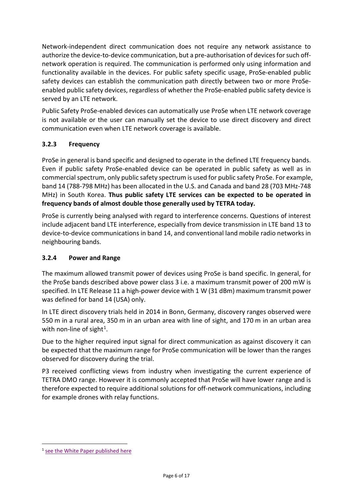Network-independent direct communication does not require any network assistance to authorize the device-to-device communication, but a pre-authorisation of devices for such offnetwork operation is required. The communication is performed only using information and functionality available in the devices. For public safety specific usage, ProSe-enabled public safety devices can establish the communication path directly between two or more ProSeenabled public safety devices, regardless of whether the ProSe-enabled public safety device is served by an LTE network.

Public Safety ProSe-enabled devices can automatically use ProSe when LTE network coverage is not available or the user can manually set the device to use direct discovery and direct communication even when LTE network coverage is available.

# **3.2.3 Frequency**

ProSe in general is band specific and designed to operate in the defined LTE frequency bands. Even if public safety ProSe-enabled device can be operated in public safety as well as in commercial spectrum, only public safety spectrum is used for public safety ProSe. For example, band 14 (788-798 MHz) has been allocated in the U.S. and Canada and band 28 (703 MHz-748 MHz) in South Korea. **Thus public safety LTE services can be expected to be operated in frequency bands of almost double those generally used by TETRA today.**

ProSe is currently being analysed with regard to interference concerns. Questions of interest include adjacent band LTE interference, especially from device transmission in LTE band 13 to device-to-device communications in band 14, and conventional land mobile radio networks in neighbouring bands.

## **3.2.4 Power and Range**

The maximum allowed transmit power of devices using ProSe is band specific. In general, for the ProSe bands described above power class 3 i.e. a maximum transmit power of 200 mW is specified. In LTE Release 11 a high-power device with 1 W (31 dBm) maximum transmit power was defined for band 14 (USA) only.

In LTE direct discovery trials held in 2014 in Bonn, Germany, discovery ranges observed were 550 m in a rural area, 350 m in an urban area with line of sight, and 170 m in an urban area with non-line of sight<sup>[1](#page-5-0)</sup>.

Due to the higher required input signal for direct communication as against discovery it can be expected that the maximum range for ProSe communication will be lower than the ranges observed for discovery during the trial.

P3 received conflicting views from industry when investigating the current experience of TETRA DMO range. However it is commonly accepted that ProSe will have lower range and is therefore expected to require additional solutions for off-network communications, including for example drones with relay functions.

<span id="page-5-0"></span><sup>&</sup>lt;sup>1</sup> [see the White Paper published here](https://www.qualcomm.com/media/documents/files/lte-direct-trial-white-paper.pdf)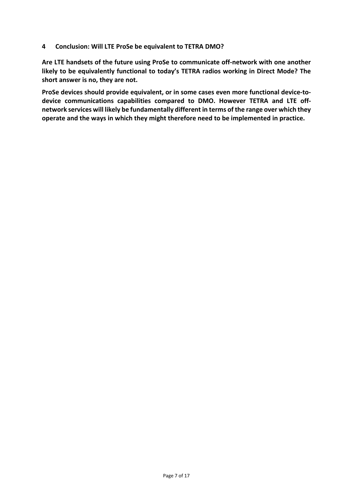**4 Conclusion: Will LTE ProSe be equivalent to TETRA DMO?**

**Are LTE handsets of the future using ProSe to communicate off-network with one another likely to be equivalently functional to today's TETRA radios working in Direct Mode? The short answer is no, they are not.**

**ProSe devices should provide equivalent, or in some cases even more functional device-todevice communications capabilities compared to DMO. However TETRA and LTE offnetwork services will likely be fundamentally different in terms of the range over which they operate and the ways in which they might therefore need to be implemented in practice.**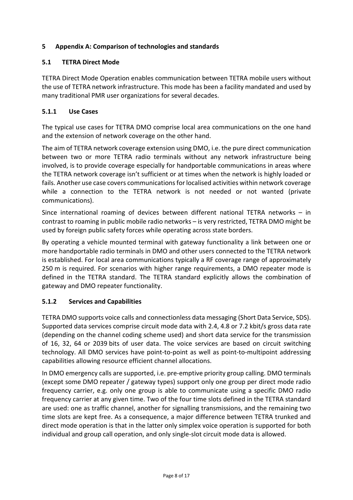## <span id="page-7-0"></span>**5 Appendix A: Comparison of technologies and standards**

#### **5.1 TETRA Direct Mode**

TETRA Direct Mode Operation enables communication between TETRA mobile users without the use of TETRA network infrastructure. This mode has been a facility mandated and used by many traditional PMR user organizations for several decades.

#### **5.1.1 Use Cases**

The typical use cases for TETRA DMO comprise local area communications on the one hand and the extension of network coverage on the other hand.

The aim of TETRA network coverage extension using DMO, i.e. the pure direct communication between two or more TETRA radio terminals without any network infrastructure being involved, is to provide coverage especially for handportable communications in areas where the TETRA network coverage isn't sufficient or at times when the network is highly loaded or fails. Another use case covers communications for localised activities within network coverage while a connection to the TETRA network is not needed or not wanted (private communications).

Since international roaming of devices between different national TETRA networks – in contrast to roaming in public mobile radio networks – is very restricted, TETRA DMO might be used by foreign public safety forces while operating across state borders.

By operating a vehicle mounted terminal with gateway functionality a link between one or more handportable radio terminals in DMO and other users connected to the TETRA network is established. For local area communications typically a RF coverage range of approximately 250 m is required. For scenarios with higher range requirements, a DMO repeater mode is defined in the TETRA standard. The TETRA standard explicitly allows the combination of gateway and DMO repeater functionality.

#### **5.1.2 Services and Capabilities**

TETRA DMO supports voice calls and connectionless data messaging (Short Data Service, SDS). Supported data services comprise circuit mode data with 2.4, 4.8 or 7.2 kbit/s gross data rate (depending on the channel coding scheme used) and short data service for the transmission of 16, 32, 64 or 2039 bits of user data. The voice services are based on circuit switching technology. All DMO services have point-to-point as well as point-to-multipoint addressing capabilities allowing resource efficient channel allocations.

In DMO emergency calls are supported, i.e. pre-emptive priority group calling. DMO terminals (except some DMO repeater / gateway types) support only one group per direct mode radio frequency carrier, e.g. only one group is able to communicate using a specific DMO radio frequency carrier at any given time. Two of the four time slots defined in the TETRA standard are used: one as traffic channel, another for signalling transmissions, and the remaining two time slots are kept free. As a consequence, a major difference between TETRA trunked and direct mode operation is that in the latter only simplex voice operation is supported for both individual and group call operation, and only single-slot circuit mode data is allowed.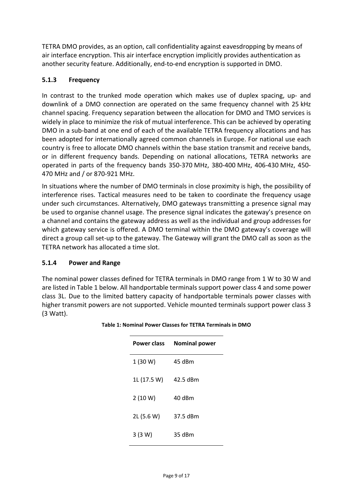TETRA DMO provides, as an option, call confidentiality against eavesdropping by means of air interface encryption. This air interface encryption implicitly provides authentication as another security feature. Additionally, end-to-end encryption is supported in DMO.

## **5.1.3 Frequency**

In contrast to the trunked mode operation which makes use of duplex spacing, up- and downlink of a DMO connection are operated on the same frequency channel with 25 kHz channel spacing. Frequency separation between the allocation for DMO and TMO services is widely in place to minimize the risk of mutual interference. This can be achieved by operating DMO in a sub-band at one end of each of the available TETRA frequency allocations and has been adopted for internationally agreed common channels in Europe. For national use each country is free to allocate DMO channels within the base station transmit and receive bands, or in different frequency bands. Depending on national allocations, TETRA networks are operated in parts of the frequency bands 350-370 MHz, 380-400 MHz, 406-430 MHz, 450- 470 MHz and / or 870-921 MHz.

In situations where the number of DMO terminals in close proximity is high, the possibility of interference rises. Tactical measures need to be taken to coordinate the frequency usage under such circumstances. Alternatively, DMO gateways transmitting a presence signal may be used to organise channel usage. The presence signal indicates the gateway's presence on a channel and contains the gateway address as well as the individual and group addresses for which gateway service is offered. A DMO terminal within the DMO gateway's coverage will direct a group call set-up to the gateway. The Gateway will grant the DMO call as soon as the TETRA network has allocated a time slot.

#### **5.1.4 Power and Range**

<span id="page-8-0"></span>The nominal power classes defined for TETRA terminals in DMO range from 1 W to 30 W and are listed i[n Table 1](#page-8-0) below. All handportable terminals support power class 4 and some power class 3L. Due to the limited battery capacity of handportable terminals power classes with higher transmit powers are not supported. Vehicle mounted terminals support power class 3 (3 Watt).

| Power class | <b>Nominal power</b> |
|-------------|----------------------|
| 1(30 W)     | 45 dBm               |
| 1L (17.5 W) | 42.5 dBm             |
| 2(10 W)     | 40 dBm               |
| 2L (5.6 W)  | 37.5 dBm             |
| 3 (3 W)     | 35 dBm               |

**Table 1: Nominal Power Classes for TETRA Terminals in DMO**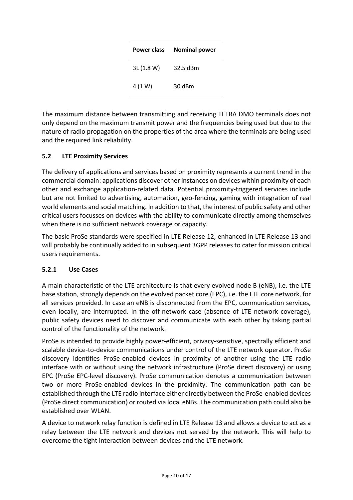| <b>Power class</b> | <b>Nominal power</b> |
|--------------------|----------------------|
| 3L (1.8 W)         | 32.5 dBm             |
| 4 (1 W)            | 30 dBm               |

The maximum distance between transmitting and receiving TETRA DMO terminals does not only depend on the maximum transmit power and the frequencies being used but due to the nature of radio propagation on the properties of the area where the terminals are being used and the required link reliability.

## **5.2 LTE Proximity Services**

The delivery of applications and services based on proximity represents a current trend in the commercial domain: applications discover other instances on devices within proximity of each other and exchange application-related data. Potential proximity-triggered services include but are not limited to advertising, automation, geo-fencing, gaming with integration of real world elements and social matching. In addition to that, the interest of public safety and other critical users focusses on devices with the ability to communicate directly among themselves when there is no sufficient network coverage or capacity.

The basic ProSe standards were specified in LTE Release 12, enhanced in LTE Release 13 and will probably be continually added to in subsequent 3GPP releases to cater for mission critical users requirements.

#### **5.2.1 Use Cases**

A main characteristic of the LTE architecture is that every evolved node B (eNB), i.e. the LTE base station, strongly depends on the evolved packet core (EPC), i.e. the LTE core network, for all services provided. In case an eNB is disconnected from the EPC, communication services, even locally, are interrupted. In the off-network case (absence of LTE network coverage), public safety devices need to discover and communicate with each other by taking partial control of the functionality of the network.

ProSe is intended to provide highly power-efficient, privacy-sensitive, spectrally efficient and scalable device-to-device communications under control of the LTE network operator. ProSe discovery identifies ProSe-enabled devices in proximity of another using the LTE radio interface with or without using the network infrastructure (ProSe direct discovery) or using EPC (ProSe EPC-level discovery). ProSe communication denotes a communication between two or more ProSe-enabled devices in the proximity. The communication path can be established through the LTE radio interface either directly between the ProSe-enabled devices (ProSe direct communication) or routed via local eNBs. The communication path could also be established over WLAN.

A device to network relay function is defined in LTE Release 13 and allows a device to act as a relay between the LTE network and devices not served by the network. This will help to overcome the tight interaction between devices and the LTE network.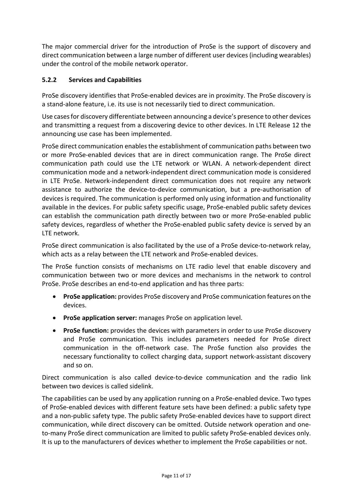The major commercial driver for the introduction of ProSe is the support of discovery and direct communication between a large number of different user devices (including wearables) under the control of the mobile network operator.

## **5.2.2 Services and Capabilities**

ProSe discovery identifies that ProSe-enabled devices are in proximity. The ProSe discovery is a stand-alone feature, i.e. its use is not necessarily tied to direct communication.

Use cases for discovery differentiate between announcing a device's presence to other devices and transmitting a request from a discovering device to other devices. In LTE Release 12 the announcing use case has been implemented.

ProSe direct communication enables the establishment of communication paths between two or more ProSe-enabled devices that are in direct communication range. The ProSe direct communication path could use the LTE network or WLAN. A network-dependent direct communication mode and a network-independent direct communication mode is considered in LTE ProSe. Network-independent direct communication does not require any network assistance to authorize the device-to-device communication, but a pre-authorisation of devices is required. The communication is performed only using information and functionality available in the devices. For public safety specific usage, ProSe-enabled public safety devices can establish the communication path directly between two or more ProSe-enabled public safety devices, regardless of whether the ProSe-enabled public safety device is served by an LTE network.

ProSe direct communication is also facilitated by the use of a ProSe device-to-network relay, which acts as a relay between the LTE network and ProSe-enabled devices.

The ProSe function consists of mechanisms on LTE radio level that enable discovery and communication between two or more devices and mechanisms in the network to control ProSe. ProSe describes an end-to-end application and has three parts:

- **ProSe application:** provides ProSe discovery and ProSe communication features on the devices.
- **ProSe application server:** manages ProSe on application level.
- **ProSe function:** provides the devices with parameters in order to use ProSe discovery and ProSe communication. This includes parameters needed for ProSe direct communication in the off-network case. The ProSe function also provides the necessary functionality to collect charging data, support network-assistant discovery and so on.

Direct communication is also called device-to-device communication and the radio link between two devices is called sidelink.

The capabilities can be used by any application running on a ProSe-enabled device. Two types of ProSe-enabled devices with different feature sets have been defined: a public safety type and a non-public safety type. The public safety ProSe-enabled devices have to support direct communication, while direct discovery can be omitted. Outside network operation and oneto-many ProSe direct communication are limited to public safety ProSe-enabled devices only. It is up to the manufacturers of devices whether to implement the ProSe capabilities or not.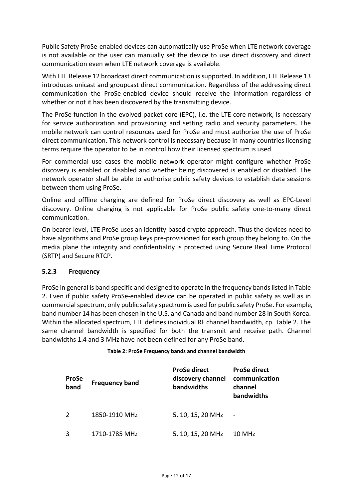Public Safety ProSe-enabled devices can automatically use ProSe when LTE network coverage is not available or the user can manually set the device to use direct discovery and direct communication even when LTE network coverage is available.

With LTE Release 12 broadcast direct communication is supported. In addition, LTE Release 13 introduces unicast and groupcast direct communication. Regardless of the addressing direct communication the ProSe-enabled device should receive the information regardless of whether or not it has been discovered by the transmitting device.

The ProSe function in the evolved packet core (EPC), i.e. the LTE core network, is necessary for service authorization and provisioning and setting radio and security parameters. The mobile network can control resources used for ProSe and must authorize the use of ProSe direct communication. This network control is necessary because in many countries licensing terms require the operator to be in control how their licensed spectrum is used.

For commercial use cases the mobile network operator might configure whether ProSe discovery is enabled or disabled and whether being discovered is enabled or disabled. The network operator shall be able to authorise public safety devices to establish data sessions between them using ProSe.

Online and offline charging are defined for ProSe direct discovery as well as EPC-Level discovery. Online charging is not applicable for ProSe public safety one-to-many direct communication.

On bearer level, LTE ProSe uses an identity-based crypto approach. Thus the devices need to have algorithms and ProSe group keys pre-provisioned for each group they belong to. On the media plane the integrity and confidentiality is protected using Secure Real Time Protocol (SRTP) and Secure RTCP.

#### **5.2.3 Frequency**

ProSe in general is band specific and designed to operate in the frequency bands listed in [Table](#page-11-0)  [2.](#page-11-0) Even if public safety ProSe-enabled device can be operated in public safety as well as in commercial spectrum, only public safety spectrum is used for public safety ProSe. For example, band number 14 has been chosen in the U.S. and Canada and band number 28 in South Korea. Within the allocated spectrum, LTE defines individual RF channel bandwidth, cp. [Table 2.](#page-11-0) The same channel bandwidth is specified for both the transmit and receive path. Channel bandwidths 1.4 and 3 MHz have not been defined for any ProSe band.

<span id="page-11-0"></span>

| <b>ProSe</b><br>band | <b>Frequency band</b> | <b>ProSe direct</b><br>discovery channel<br>bandwidths | <b>ProSe direct</b><br>communication<br>channel<br>bandwidths |
|----------------------|-----------------------|--------------------------------------------------------|---------------------------------------------------------------|
|                      | 1850-1910 MHz         | 5, 10, 15, 20 MHz                                      | $\blacksquare$                                                |
| ੨                    | 1710-1785 MHz         | 5, 10, 15, 20 MHz                                      | 10 MHz                                                        |

#### **Table 2: ProSe Frequency bands and channel bandwidth**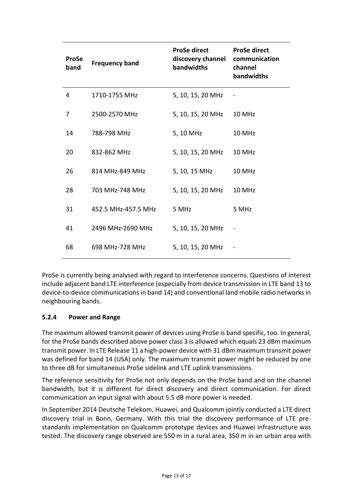| <b>ProSe</b><br>band | <b>Frequency band</b> | <b>ProSe direct</b><br>discovery channel<br>bandwidths | <b>ProSe direct</b><br>communication<br>channel<br>bandwidths |
|----------------------|-----------------------|--------------------------------------------------------|---------------------------------------------------------------|
| 4                    | 1710-1755 MHz         | 5, 10, 15, 20 MHz                                      |                                                               |
| 7                    | 2500-2570 MHz         | 5, 10, 15, 20 MHz                                      | 10 MHz                                                        |
| 14                   | 788-798 MHz           | 5, 10 MHz                                              | 10 MHz                                                        |
| 20                   | 832-862 MHz           | 5, 10, 15, 20 MHz                                      | 10 MHz                                                        |
| 26                   | 814 MHz-849 MHz       | 5, 10, 15 MHz                                          | 10 MHz                                                        |
| 28                   | 703 MHz-748 MHz       | 5, 10, 15, 20 MHz                                      | 10 MHz                                                        |
| 31                   | 452.5 MHz-457.5 MHz   | 5 MHz                                                  | 5 MHz                                                         |
| 41                   | 2496 MHz-2690 MHz     | 5, 10, 15, 20 MHz                                      |                                                               |
| 68                   | 698 MHz-728 MHz       | 5, 10, 15, 20 MHz                                      |                                                               |

ProSe is currently being analysed with regard to interference concerns. Questions of interest include adjacent band LTE interference (especially from device transmission in LTE band 13 to device-to-device communications in band 14) and conventional land mobile radio networks in neighbouring bands.

#### **5.2.4 Power and Range**

The maximum allowed transmit power of devices using ProSe is band specific, too. In general, for the ProSe bands described above power class 3 is allowed which equals 23 dBm maximum transmit power. In LTE Release 11 a high-power device with 31 dBm maximum transmit power was defined for band 14 (USA) only. The maximum transmit power might be reduced by one to three dB for simultaneous ProSe sidelink and LTE uplink transmissions.

The reference sensitivity for ProSe not only depends on the ProSe band and on the channel bandwidth, but it is different for direct discovery and direct communication. For direct communication an input signal with about 5.5 dB more power is needed.

In September 2014 Deutsche Telekom, Huawei, and Qualcomm jointly conducted a LTE direct discovery trial in Bonn, Germany. With this trial the discovery performance of LTE prestandards implementation on Qualcomm prototype devices and Huawei infrastructure was tested. The discovery range observed are 550 m in a rural area, 350 m in an urban area with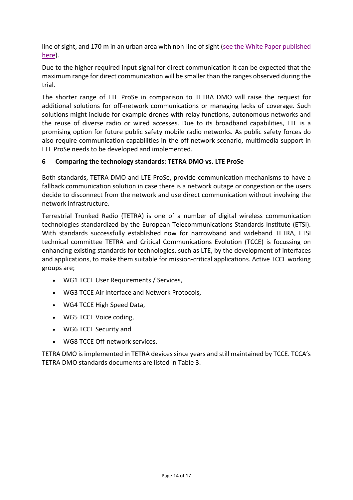line of sight, and 170 m in an urban area with non-line of sight (see the White Paper published [here\)](https://www.qualcomm.com/media/documents/files/lte-direct-trial-white-paper.pdf).

Due to the higher required input signal for direct communication it can be expected that the maximum range for direct communication will be smaller than the ranges observed during the trial.

The shorter range of LTE ProSe in comparison to TETRA DMO will raise the request for additional solutions for off-network communications or managing lacks of coverage. Such solutions might include for example drones with relay functions, autonomous networks and the reuse of diverse radio or wired accesses. Due to its broadband capabilities, LTE is a promising option for future public safety mobile radio networks. As public safety forces do also require communication capabilities in the off-network scenario, multimedia support in LTE ProSe needs to be developed and implemented.

## **6 Comparing the technology standards: TETRA DMO vs. LTE ProSe**

Both standards, TETRA DMO and LTE ProSe, provide communication mechanisms to have a fallback communication solution in case there is a network outage or congestion or the users decide to disconnect from the network and use direct communication without involving the network infrastructure.

Terrestrial Trunked Radio (TETRA) is one of a number of digital wireless communication technologies standardized by the European Telecommunications Standards Institute (ETSI). With standards successfully established now for narrowband and wideband TETRA, ETSI technical committee TETRA and Critical Communications Evolution (TCCE) is focussing on enhancing existing standards for technologies, such as LTE, by the development of interfaces and applications, to make them suitable for mission-critical applications. Active TCCE working groups are;

- WG1 TCCE User Requirements / Services,
- WG3 TCCE Air Interface and Network Protocols,
- WG4 TCCE High Speed Data,
- WG5 TCCE Voice coding,
- WG6 TCCE Security and
- WG8 TCCE Off-network services.

TETRA DMO is implemented in TETRA devices since years and still maintained by TCCE. TCCA's TETRA DMO standards documents are listed in [Table 3.](#page-14-0)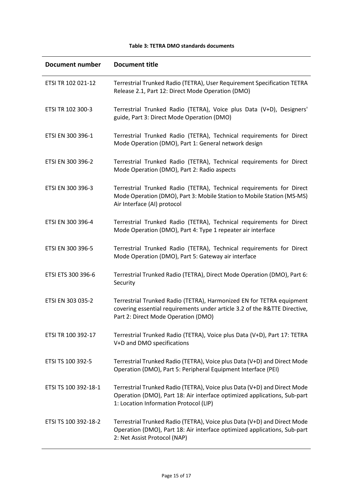#### **Table 3: TETRA DMO standards documents**

<span id="page-14-0"></span>

| <b>Document number</b> | <b>Document title</b>                                                                                                                                                                          |
|------------------------|------------------------------------------------------------------------------------------------------------------------------------------------------------------------------------------------|
| ETSI TR 102 021-12     | Terrestrial Trunked Radio (TETRA), User Requirement Specification TETRA<br>Release 2.1, Part 12: Direct Mode Operation (DMO)                                                                   |
| ETSI TR 102 300-3      | Terrestrial Trunked Radio (TETRA), Voice plus Data (V+D), Designers'<br>guide, Part 3: Direct Mode Operation (DMO)                                                                             |
| ETSI EN 300 396-1      | Terrestrial Trunked Radio (TETRA), Technical requirements for Direct<br>Mode Operation (DMO), Part 1: General network design                                                                   |
| ETSI EN 300 396-2      | Terrestrial Trunked Radio (TETRA), Technical requirements for Direct<br>Mode Operation (DMO), Part 2: Radio aspects                                                                            |
| ETSI EN 300 396-3      | Terrestrial Trunked Radio (TETRA), Technical requirements for Direct<br>Mode Operation (DMO), Part 3: Mobile Station to Mobile Station (MS-MS)<br>Air Interface (AI) protocol                  |
| ETSI EN 300 396-4      | Terrestrial Trunked Radio (TETRA), Technical requirements for Direct<br>Mode Operation (DMO), Part 4: Type 1 repeater air interface                                                            |
| ETSI EN 300 396-5      | Terrestrial Trunked Radio (TETRA), Technical requirements for Direct<br>Mode Operation (DMO), Part 5: Gateway air interface                                                                    |
| ETSI ETS 300 396-6     | Terrestrial Trunked Radio (TETRA), Direct Mode Operation (DMO), Part 6:<br>Security                                                                                                            |
| ETSI EN 303 035-2      | Terrestrial Trunked Radio (TETRA), Harmonized EN for TETRA equipment<br>covering essential requirements under article 3.2 of the R&TTE Directive,<br>Part 2: Direct Mode Operation (DMO)       |
| ETSI TR 100 392-17     | Terrestrial Trunked Radio (TETRA), Voice plus Data (V+D), Part 17: TETRA<br>V+D and DMO specifications                                                                                         |
| ETSI TS 100 392-5      | Terrestrial Trunked Radio (TETRA), Voice plus Data (V+D) and Direct Mode<br>Operation (DMO), Part 5: Peripheral Equipment Interface (PEI)                                                      |
| ETSI TS 100 392-18-1   | Terrestrial Trunked Radio (TETRA), Voice plus Data (V+D) and Direct Mode<br>Operation (DMO), Part 18: Air interface optimized applications, Sub-part<br>1: Location Information Protocol (LIP) |
| ETSI TS 100 392-18-2   | Terrestrial Trunked Radio (TETRA), Voice plus Data (V+D) and Direct Mode<br>Operation (DMO), Part 18: Air interface optimized applications, Sub-part<br>2: Net Assist Protocol (NAP)           |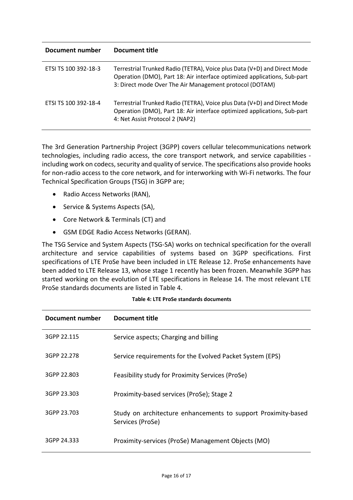| Document number      | Document title                                                                                                                                                                                                  |
|----------------------|-----------------------------------------------------------------------------------------------------------------------------------------------------------------------------------------------------------------|
| ETSI TS 100 392-18-3 | Terrestrial Trunked Radio (TETRA), Voice plus Data (V+D) and Direct Mode<br>Operation (DMO), Part 18: Air interface optimized applications, Sub-part<br>3: Direct mode Over The Air Management protocol (DOTAM) |
| ETSI TS 100 392-18-4 | Terrestrial Trunked Radio (TETRA), Voice plus Data (V+D) and Direct Mode<br>Operation (DMO), Part 18: Air interface optimized applications, Sub-part<br>4: Net Assist Protocol 2 (NAP2)                         |

The 3rd Generation Partnership Project (3GPP) covers cellular telecommunications network technologies, including radio access, the core transport network, and service capabilities including work on codecs, security and quality of service. The specifications also provide hooks for non-radio access to the core network, and for interworking with Wi-Fi networks. The four Technical Specification Groups (TSG) in 3GPP are;

- Radio Access Networks (RAN),
- Service & Systems Aspects (SA),
- Core Network & Terminals (CT) and
- GSM EDGE Radio Access Networks (GERAN).

The TSG Service and System Aspects (TSG-SA) works on technical specification for the overall architecture and service capabilities of systems based on 3GPP specifications. First specifications of LTE ProSe have been included in LTE Release 12. ProSe enhancements have been added to LTE Release 13, whose stage 1 recently has been frozen. Meanwhile 3GPP has started working on the evolution of LTE specifications in Release 14. The most relevant LTE ProSe standards documents are listed in [Table 4.](#page-15-0)

<span id="page-15-0"></span>

| Document number | Document title                                                                    |
|-----------------|-----------------------------------------------------------------------------------|
| 3GPP 22.115     | Service aspects; Charging and billing                                             |
| 3GPP 22.278     | Service requirements for the Evolved Packet System (EPS)                          |
| 3GPP 22.803     | Feasibility study for Proximity Services (ProSe)                                  |
| 3GPP 23.303     | Proximity-based services (ProSe); Stage 2                                         |
| 3GPP 23.703     | Study on architecture enhancements to support Proximity-based<br>Services (ProSe) |
| 3GPP 24.333     | Proximity-services (ProSe) Management Objects (MO)                                |

#### **Table 4: LTE ProSe standards documents**